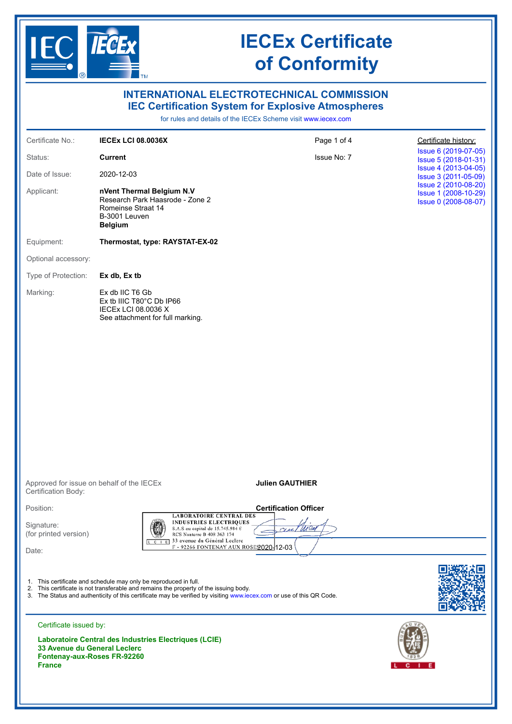

| <b>INTERNATIONAL ELECTROTECHNICAL COMMISSION</b><br><b>IEC Certification System for Explosive Atmospheres</b><br>for rules and details of the IECEx Scheme visit www.iecex.com |                                                                                                                                                           |                                                                                                                      |                                                                      |
|--------------------------------------------------------------------------------------------------------------------------------------------------------------------------------|-----------------------------------------------------------------------------------------------------------------------------------------------------------|----------------------------------------------------------------------------------------------------------------------|----------------------------------------------------------------------|
| Certificate No.:                                                                                                                                                               | <b>IECEX LCI 08.0036X</b>                                                                                                                                 | Page 1 of 4                                                                                                          | Certificate history:                                                 |
| Status:                                                                                                                                                                        | <b>Current</b>                                                                                                                                            | Issue No: 7                                                                                                          | Issue 6 (2019-07-05)<br>Issue 5 (2018-01-31)                         |
| Date of Issue:                                                                                                                                                                 | 2020-12-03                                                                                                                                                |                                                                                                                      | Issue 4 (2013-04-05)<br>Issue 3 (2011-05-09)                         |
| Applicant:                                                                                                                                                                     | nVent Thermal Belgium N.V<br>Research Park Haasrode - Zone 2<br>Romeinse Straat 14<br>B-3001 Leuven<br><b>Belgium</b>                                     |                                                                                                                      | Issue 2 (2010-08-20)<br>Issue 1 (2008-10-29)<br>Issue 0 (2008-08-07) |
| Equipment:                                                                                                                                                                     | Thermostat, type: RAYSTAT-EX-02                                                                                                                           |                                                                                                                      |                                                                      |
| Optional accessory:                                                                                                                                                            |                                                                                                                                                           |                                                                                                                      |                                                                      |
| Type of Protection:                                                                                                                                                            | Ex db, Ex tb                                                                                                                                              |                                                                                                                      |                                                                      |
| Marking:                                                                                                                                                                       | Ex db IIC T6 Gb<br>Ex tb IIIC T80°C Db IP66<br>IECEX LCI 08.0036 X<br>See attachment for full marking.                                                    |                                                                                                                      |                                                                      |
| Certification Body:                                                                                                                                                            | Approved for issue on behalf of the IECEx                                                                                                                 | <b>Julien GAUTHIER</b>                                                                                               |                                                                      |
| Position:                                                                                                                                                                      |                                                                                                                                                           | <b>Certification Officer</b><br><b>LABORATOIRE CENTRAL DES</b>                                                       |                                                                      |
| Signature:<br>(for printed version)                                                                                                                                            | RCS Nanterre B 408 363 174                                                                                                                                | <b>INDUSTRIES ELECTRIQUES</b><br>S.A.S au capital de 15.745.984 €<br>croe                                            |                                                                      |
| Date:                                                                                                                                                                          |                                                                                                                                                           | 33 avenue du Général Leclère<br>F - 92266 FONTENAY AUX ROSES 020 12-03                                               |                                                                      |
|                                                                                                                                                                                | 1. This certificate and schedule may only be reproduced in full.<br>2. This certificate is not transferable and remains the property of the issuing body. | 3. The Status and authenticity of this certificate may be verified by visiting www.iecex.com or use of this QR Code. |                                                                      |
| Certificate issued by:                                                                                                                                                         | Laboratoire Central des Industries Electriques (LCIE)                                                                                                     |                                                                                                                      |                                                                      |

**33 Avenue du General Leclerc Fontenay-aux-Roses FR-92260 France**

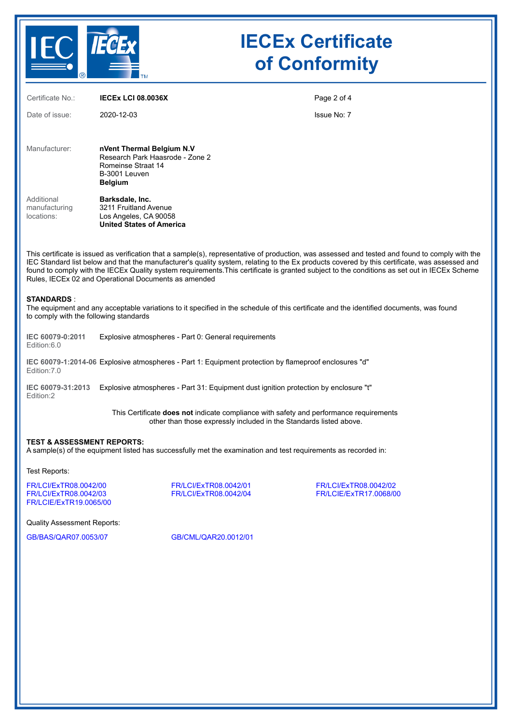

| Certificate No.:                                                                                                                                                                                                                                                                                                                                                                                                                                                                                         | <b>IECEX LCI 08.0036X</b>                                                                                                               | Page 2 of 4 |  |  |
|----------------------------------------------------------------------------------------------------------------------------------------------------------------------------------------------------------------------------------------------------------------------------------------------------------------------------------------------------------------------------------------------------------------------------------------------------------------------------------------------------------|-----------------------------------------------------------------------------------------------------------------------------------------|-------------|--|--|
| Date of issue:                                                                                                                                                                                                                                                                                                                                                                                                                                                                                           | 2020-12-03                                                                                                                              | Issue No: 7 |  |  |
| Manufacturer:                                                                                                                                                                                                                                                                                                                                                                                                                                                                                            | nVent Thermal Belgium N.V<br>Research Park Haasrode - Zone 2<br>Romeinse Straat 14<br>B-3001 Leuven<br><b>Belgium</b>                   |             |  |  |
| Additional<br>manufacturing<br>locations:                                                                                                                                                                                                                                                                                                                                                                                                                                                                | Barksdale, Inc.<br>3211 Fruitland Avenue<br>Los Angeles, CA 90058<br><b>United States of America</b>                                    |             |  |  |
| This certificate is issued as verification that a sample(s), representative of production, was assessed and tested and found to comply with the<br>IEC Standard list below and that the manufacturer's quality system, relating to the Ex products covered by this certificate, was assessed and<br>found to comply with the IECEx Quality system requirements. This certificate is granted subject to the conditions as set out in IECEx Scheme<br>Rules, IECEx 02 and Operational Documents as amended |                                                                                                                                         |             |  |  |
| <b>STANDARDS:</b><br>to comply with the following standards                                                                                                                                                                                                                                                                                                                                                                                                                                              | The equipment and any acceptable variations to it specified in the schedule of this certificate and the identified documents, was found |             |  |  |

**IEC 60079-0:2011** Edition:6.0 Explosive atmospheres - Part 0: General requirements

**IEC 60079-1:2014-06** Explosive atmospheres - Part 1: Equipment protection by flameproof enclosures "d" Edition:7.0

**IEC 60079-31:2013** Explosive atmospheres - Part 31: Equipment dust ignition protection by enclosure "t" Edition:2

> This Certificate **does not** indicate compliance with safety and performance requirements other than those expressly included in the Standards listed above.

### **TEST & ASSESSMENT REPORTS:**

A sample(s) of the equipment listed has successfully met the examination and test requirements as recorded in:

Test Reports:

[FR/LCI/ExTR08.0042/00](https://www.iecex-certs.com/deliverables/REPORT/16016/view) [FR/LCI/ExTR08.0042/01](https://www.iecex-certs.com/deliverables/REPORT/16017/view) [FR/LCI/ExTR08.0042/02](https://www.iecex-certs.com/deliverables/REPORT/16018/view) [FR/LCIE/ExTR19.0065/00](https://www.iecex-certs.com/deliverables/REPORT/16366/view)

[FR/LCIE/ExTR17.0068/00](https://www.iecex-certs.com/deliverables/REPORT/15634/view)

Quality Assessment Reports:

[GB/BAS/QAR07.0053/07](https://www.iecex-certs.com/deliverables/REPORT/46657/view) [GB/CML/QAR20.0012/01](https://www.iecex-certs.com/deliverables/REPORT/69290/view)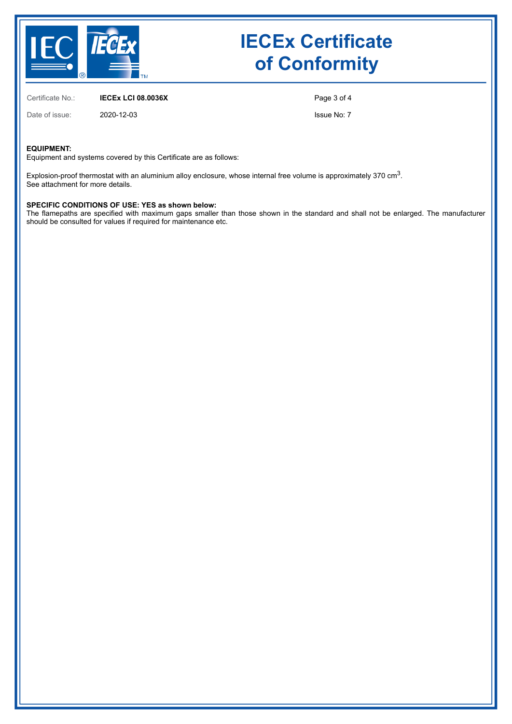

Certificate No.: **IECEx LCI 08.0036X**

Date of issue: 2020-12-03

Page 3 of 4

Issue No: 7

### **EQUIPMENT:**

Equipment and systems covered by this Certificate are as follows:

Explosion-proof thermostat with an aluminium alloy enclosure, whose internal free volume is approximately 370 cm $^3\!$ . See attachment for more details.

### **SPECIFIC CONDITIONS OF USE: YES as shown below:**

The flamepaths are specified with maximum gaps smaller than those shown in the standard and shall not be enlarged. The manufacturer should be consulted for values if required for maintenance etc.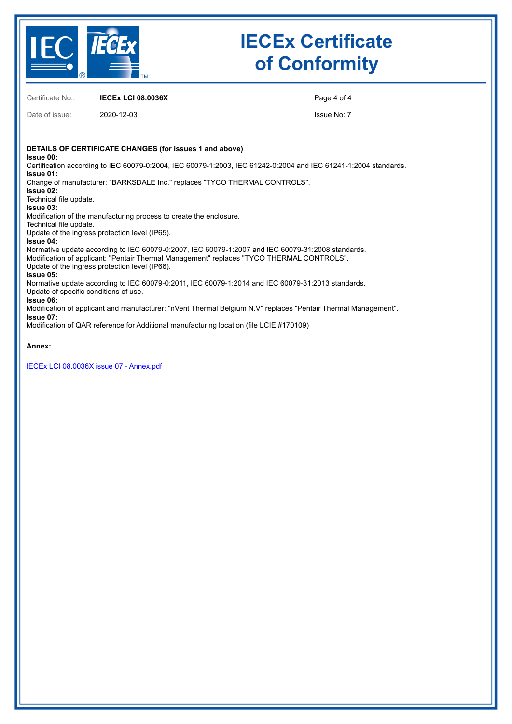

Certificate No.: **IECEx LCI 08.0036X**

Date of issue: 2020-12-03

Page 4 of 4

Issue No: 7

**DETAILS OF CERTIFICATE CHANGES (for issues 1 and above) Issue 00:** Certification according to IEC 60079-0:2004, IEC 60079-1:2003, IEC 61242-0:2004 and IEC 61241-1:2004 standards. **Issue 01:** Change of manufacturer: "BARKSDALE Inc." replaces "TYCO THERMAL CONTROLS". **Issue 02:** Technical file update. **Issue 03:** Modification of the manufacturing process to create the enclosure. Technical file update. Update of the ingress protection level (IP65). **Issue 04:** Normative update according to IEC 60079-0:2007, IEC 60079-1:2007 and IEC 60079-31:2008 standards. Modification of applicant: "Pentair Thermal Management" replaces "TYCO THERMAL CONTROLS". Update of the ingress protection level (IP66). **Issue 05:** Normative update according to IEC 60079-0:2011, IEC 60079-1:2014 and IEC 60079-31:2013 standards. Update of specific conditions of use. **Issue 06:** Modification of applicant and manufacturer: "nVent Thermal Belgium N.V" replaces "Pentair Thermal Management". **Issue 07:** Modification of QAR reference for Additional manufacturing location (file LCIE #170109)

**Annex:**

[IECEx LCI 08.0036X issue 07 - Annex.pdf](https://www.iecex-certs.com/deliverables/CERT/51308/view)